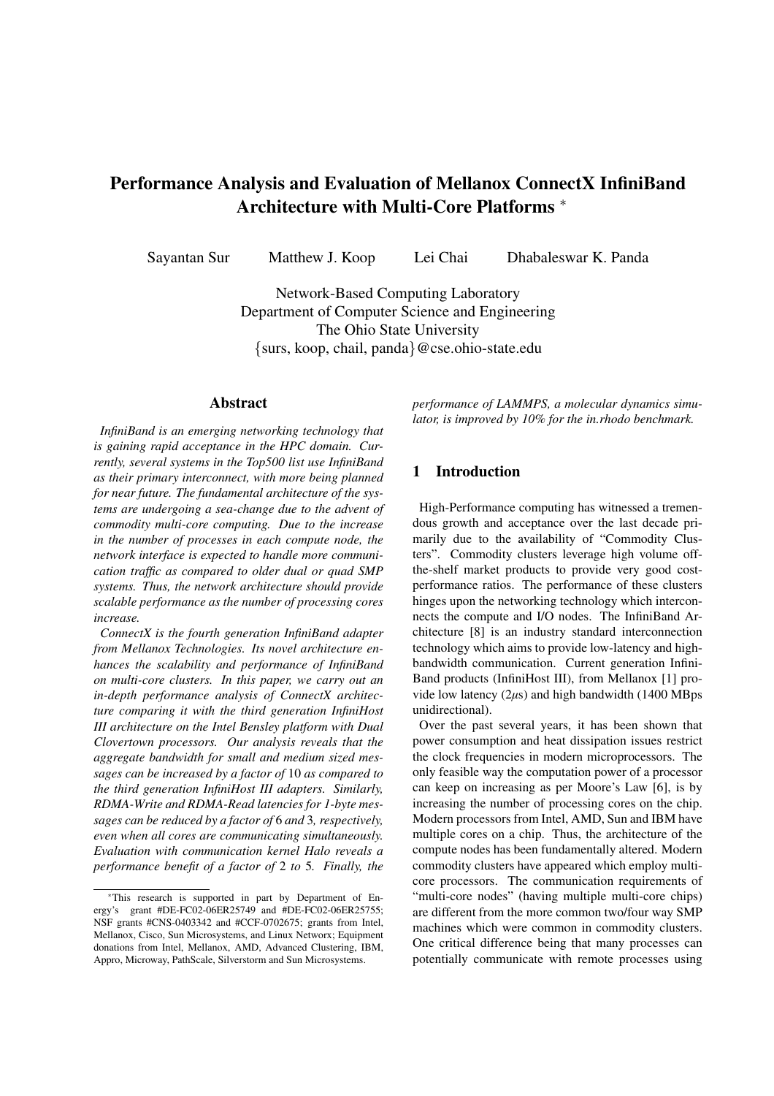# **Performance Analysis and Evaluation of Mellanox ConnectX InfiniBand Architecture with Multi-Core Platforms** <sup>∗</sup>

Sayantan Sur Matthew J. Koop Lei Chai Dhabaleswar K. Panda

Network-Based Computing Laboratory Department of Computer Science and Engineering The Ohio State University {surs, koop, chail, panda}@cse.ohio-state.edu

## **Abstract**

*InfiniBand is an emerging networking technology that is gaining rapid acceptance in the HPC domain. Currently, several systems in the Top500 list use InfiniBand as their primary interconnect, with more being planned for near future. The fundamental architecture of the systems are undergoing a sea-change due to the advent of commodity multi-core computing. Due to the increase in the number of processes in each compute node, the network interface is expected to handle more communication traffic as compared to older dual or quad SMP systems. Thus, the network architecture should provide scalable performance as the number of processing cores increase.*

*ConnectX is the fourth generation InfiniBand adapter from Mellanox Technologies. Its novel architecture enhances the scalability and performance of InfiniBand on multi-core clusters. In this paper, we carry out an in-depth performance analysis of ConnectX architecture comparing it with the third generation InfiniHost III architecture on the Intel Bensley platform with Dual Clovertown processors. Our analysis reveals that the aggregate bandwidth for small and medium sized messages can be increased by a factor of* 10 *as compared to the third generation InfiniHost III adapters. Similarly, RDMA-Write and RDMA-Read latencies for 1-byte messages can be reduced by a factor of* 6 *and* 3*, respectively, even when all cores are communicating simultaneously. Evaluation with communication kernel Halo reveals a performance benefit of a factor of* 2 *to* 5*. Finally, the* *performance of LAMMPS, a molecular dynamics simulator, is improved by 10% for the in.rhodo benchmark.*

# **1 Introduction**

High-Performance computing has witnessed a tremendous growth and acceptance over the last decade primarily due to the availability of "Commodity Clusters". Commodity clusters leverage high volume offthe-shelf market products to provide very good costperformance ratios. The performance of these clusters hinges upon the networking technology which interconnects the compute and I/O nodes. The InfiniBand Architecture [8] is an industry standard interconnection technology which aims to provide low-latency and highbandwidth communication. Current generation Infini-Band products (InfiniHost III), from Mellanox [1] provide low latency (2*µ*s) and high bandwidth (1400 MBps unidirectional).

Over the past several years, it has been shown that power consumption and heat dissipation issues restrict the clock frequencies in modern microprocessors. The only feasible way the computation power of a processor can keep on increasing as per Moore's Law [6], is by increasing the number of processing cores on the chip. Modern processors from Intel, AMD, Sun and IBM have multiple cores on a chip. Thus, the architecture of the compute nodes has been fundamentally altered. Modern commodity clusters have appeared which employ multicore processors. The communication requirements of "multi-core nodes" (having multiple multi-core chips) are different from the more common two/four way SMP machines which were common in commodity clusters. One critical difference being that many processes can potentially communicate with remote processes using

<sup>∗</sup>This research is supported in part by Department of Energy's grant #DE-FC02-06ER25749 and #DE-FC02-06ER25755; NSF grants #CNS-0403342 and #CCF-0702675; grants from Intel, Mellanox, Cisco, Sun Microsystems, and Linux Networx; Equipment donations from Intel, Mellanox, AMD, Advanced Clustering, IBM, Appro, Microway, PathScale, Silverstorm and Sun Microsystems.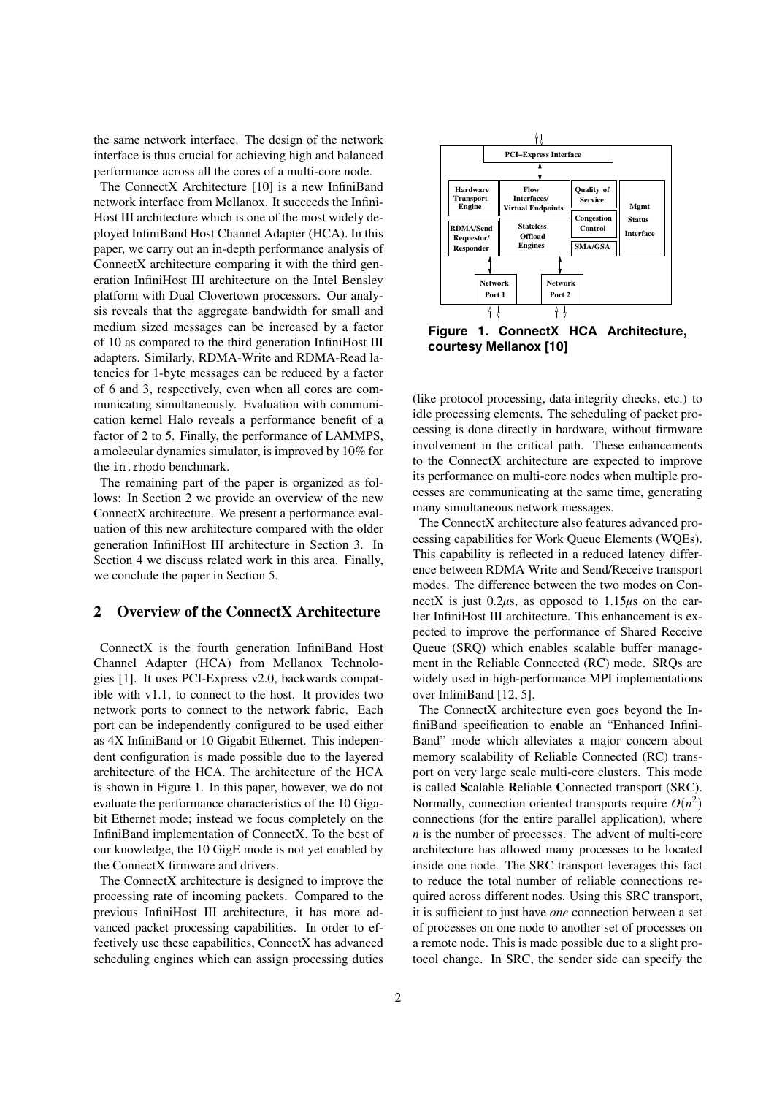the same network interface. The design of the network interface is thus crucial for achieving high and balanced performance across all the cores of a multi-core node.

The ConnectX Architecture [10] is a new InfiniBand network interface from Mellanox. It succeeds the Infini-Host III architecture which is one of the most widely deployed InfiniBand Host Channel Adapter (HCA). In this paper, we carry out an in-depth performance analysis of ConnectX architecture comparing it with the third generation InfiniHost III architecture on the Intel Bensley platform with Dual Clovertown processors. Our analysis reveals that the aggregate bandwidth for small and medium sized messages can be increased by a factor of 10 as compared to the third generation InfiniHost III adapters. Similarly, RDMA-Write and RDMA-Read latencies for 1-byte messages can be reduced by a factor of 6 and 3, respectively, even when all cores are communicating simultaneously. Evaluation with communication kernel Halo reveals a performance benefit of a factor of 2 to 5. Finally, the performance of LAMMPS, a molecular dynamics simulator, is improved by 10% for the in.rhodo benchmark.

The remaining part of the paper is organized as follows: In Section 2 we provide an overview of the new ConnectX architecture. We present a performance evaluation of this new architecture compared with the older generation InfiniHost III architecture in Section 3. In Section 4 we discuss related work in this area. Finally, we conclude the paper in Section 5.

# **2 Overview of the ConnectX Architecture**

ConnectX is the fourth generation InfiniBand Host Channel Adapter (HCA) from Mellanox Technologies [1]. It uses PCI-Express v2.0, backwards compatible with v1.1, to connect to the host. It provides two network ports to connect to the network fabric. Each port can be independently configured to be used either as 4X InfiniBand or 10 Gigabit Ethernet. This independent configuration is made possible due to the layered architecture of the HCA. The architecture of the HCA is shown in Figure 1. In this paper, however, we do not evaluate the performance characteristics of the 10 Gigabit Ethernet mode; instead we focus completely on the InfiniBand implementation of ConnectX. To the best of our knowledge, the 10 GigE mode is not yet enabled by the ConnectX firmware and drivers.

The ConnectX architecture is designed to improve the processing rate of incoming packets. Compared to the previous InfiniHost III architecture, it has more advanced packet processing capabilities. In order to effectively use these capabilities, ConnectX has advanced scheduling engines which can assign processing duties



**Figure 1. ConnectX HCA Architecture, courtesy Mellanox [10]**

(like protocol processing, data integrity checks, etc.) to idle processing elements. The scheduling of packet processing is done directly in hardware, without firmware involvement in the critical path. These enhancements to the ConnectX architecture are expected to improve its performance on multi-core nodes when multiple processes are communicating at the same time, generating many simultaneous network messages.

The ConnectX architecture also features advanced processing capabilities for Work Queue Elements (WQEs). This capability is reflected in a reduced latency difference between RDMA Write and Send/Receive transport modes. The difference between the two modes on ConnectX is just 0.2*µ*s, as opposed to 1.15*µ*s on the earlier InfiniHost III architecture. This enhancement is expected to improve the performance of Shared Receive Queue (SRQ) which enables scalable buffer management in the Reliable Connected (RC) mode. SRQs are widely used in high-performance MPI implementations over InfiniBand [12, 5].

The ConnectX architecture even goes beyond the InfiniBand specification to enable an "Enhanced Infini-Band" mode which alleviates a major concern about memory scalability of Reliable Connected (RC) transport on very large scale multi-core clusters. This mode is called **S**calable **R**eliable **C**onnected transport (SRC). Normally, connection oriented transports require  $O(n^2)$ connections (for the entire parallel application), where *n* is the number of processes. The advent of multi-core architecture has allowed many processes to be located inside one node. The SRC transport leverages this fact to reduce the total number of reliable connections required across different nodes. Using this SRC transport, it is sufficient to just have *one* connection between a set of processes on one node to another set of processes on a remote node. This is made possible due to a slight protocol change. In SRC, the sender side can specify the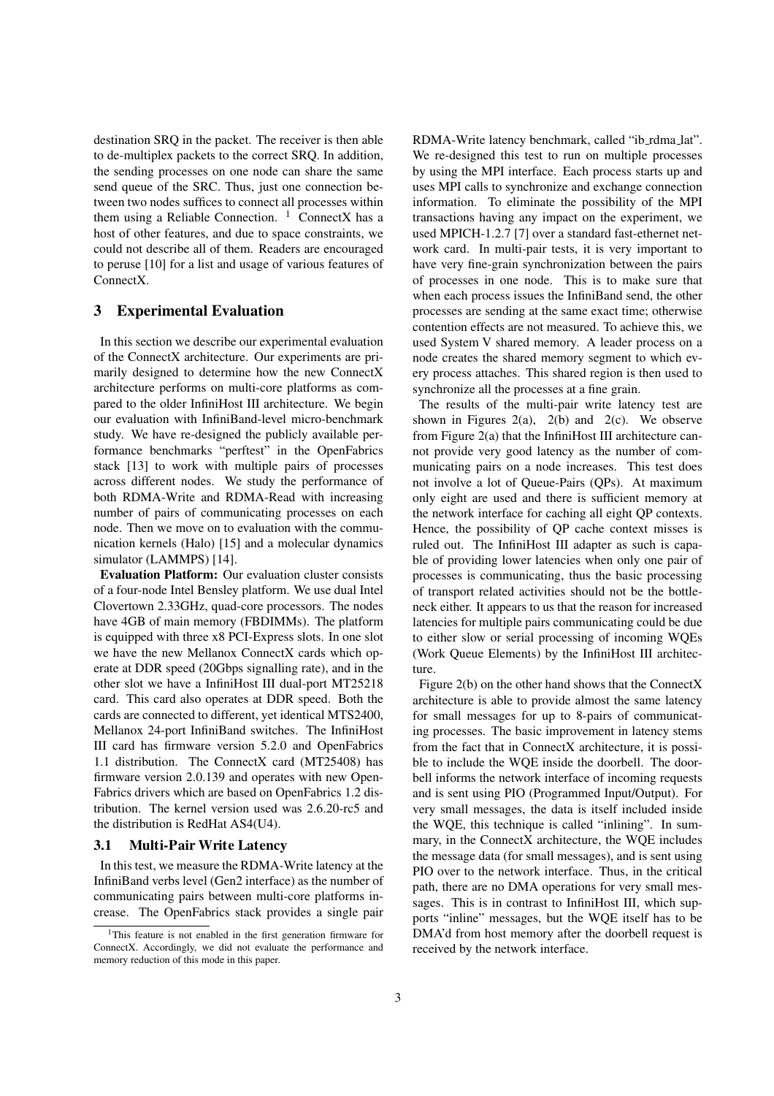destination SRQ in the packet. The receiver is then able to de-multiplex packets to the correct SRQ. In addition, the sending processes on one node can share the same send queue of the SRC. Thus, just one connection between two nodes suffices to connect all processes within them using a Reliable Connection.  $1$  ConnectX has a host of other features, and due to space constraints, we could not describe all of them. Readers are encouraged to peruse [10] for a list and usage of various features of ConnectX.

## **3 Experimental Evaluation**

In this section we describe our experimental evaluation of the ConnectX architecture. Our experiments are primarily designed to determine how the new ConnectX architecture performs on multi-core platforms as compared to the older InfiniHost III architecture. We begin our evaluation with InfiniBand-level micro-benchmark study. We have re-designed the publicly available performance benchmarks "perftest" in the OpenFabrics stack [13] to work with multiple pairs of processes across different nodes. We study the performance of both RDMA-Write and RDMA-Read with increasing number of pairs of communicating processes on each node. Then we move on to evaluation with the communication kernels (Halo) [15] and a molecular dynamics simulator (LAMMPS) [14].

**Evaluation Platform:** Our evaluation cluster consists of a four-node Intel Bensley platform. We use dual Intel Clovertown 2.33GHz, quad-core processors. The nodes have 4GB of main memory (FBDIMMs). The platform is equipped with three x8 PCI-Express slots. In one slot we have the new Mellanox ConnectX cards which operate at DDR speed (20Gbps signalling rate), and in the other slot we have a InfiniHost III dual-port MT25218 card. This card also operates at DDR speed. Both the cards are connected to different, yet identical MTS2400, Mellanox 24-port InfiniBand switches. The InfiniHost III card has firmware version 5.2.0 and OpenFabrics 1.1 distribution. The ConnectX card (MT25408) has firmware version 2.0.139 and operates with new Open-Fabrics drivers which are based on OpenFabrics 1.2 distribution. The kernel version used was 2.6.20-rc5 and the distribution is RedHat AS4(U4).

#### **3.1 Multi-Pair Write Latency**

In this test, we measure the RDMA-Write latency at the InfiniBand verbs level (Gen2 interface) as the number of communicating pairs between multi-core platforms increase. The OpenFabrics stack provides a single pair

RDMA-Write latency benchmark, called "ib rdma lat". We re-designed this test to run on multiple processes by using the MPI interface. Each process starts up and uses MPI calls to synchronize and exchange connection information. To eliminate the possibility of the MPI transactions having any impact on the experiment, we used MPICH-1.2.7 [7] over a standard fast-ethernet network card. In multi-pair tests, it is very important to have very fine-grain synchronization between the pairs of processes in one node. This is to make sure that when each process issues the InfiniBand send, the other processes are sending at the same exact time; otherwise contention effects are not measured. To achieve this, we used System V shared memory. A leader process on a node creates the shared memory segment to which every process attaches. This shared region is then used to synchronize all the processes at a fine grain.

The results of the multi-pair write latency test are shown in Figures 2(a), 2(b) and 2(c). We observe from Figure 2(a) that the InfiniHost III architecture cannot provide very good latency as the number of communicating pairs on a node increases. This test does not involve a lot of Queue-Pairs (QPs). At maximum only eight are used and there is sufficient memory at the network interface for caching all eight QP contexts. Hence, the possibility of QP cache context misses is ruled out. The InfiniHost III adapter as such is capable of providing lower latencies when only one pair of processes is communicating, thus the basic processing of transport related activities should not be the bottleneck either. It appears to us that the reason for increased latencies for multiple pairs communicating could be due to either slow or serial processing of incoming WQEs (Work Queue Elements) by the InfiniHost III architecture.

Figure 2(b) on the other hand shows that the ConnectX architecture is able to provide almost the same latency for small messages for up to 8-pairs of communicating processes. The basic improvement in latency stems from the fact that in ConnectX architecture, it is possible to include the WQE inside the doorbell. The doorbell informs the network interface of incoming requests and is sent using PIO (Programmed Input/Output). For very small messages, the data is itself included inside the WQE, this technique is called "inlining". In summary, in the ConnectX architecture, the WQE includes the message data (for small messages), and is sent using PIO over to the network interface. Thus, in the critical path, there are no DMA operations for very small messages. This is in contrast to InfiniHost III, which supports "inline" messages, but the WQE itself has to be DMA'd from host memory after the doorbell request is received by the network interface.

<sup>&</sup>lt;sup>1</sup>This feature is not enabled in the first generation firmware for ConnectX. Accordingly, we did not evaluate the performance and memory reduction of this mode in this paper.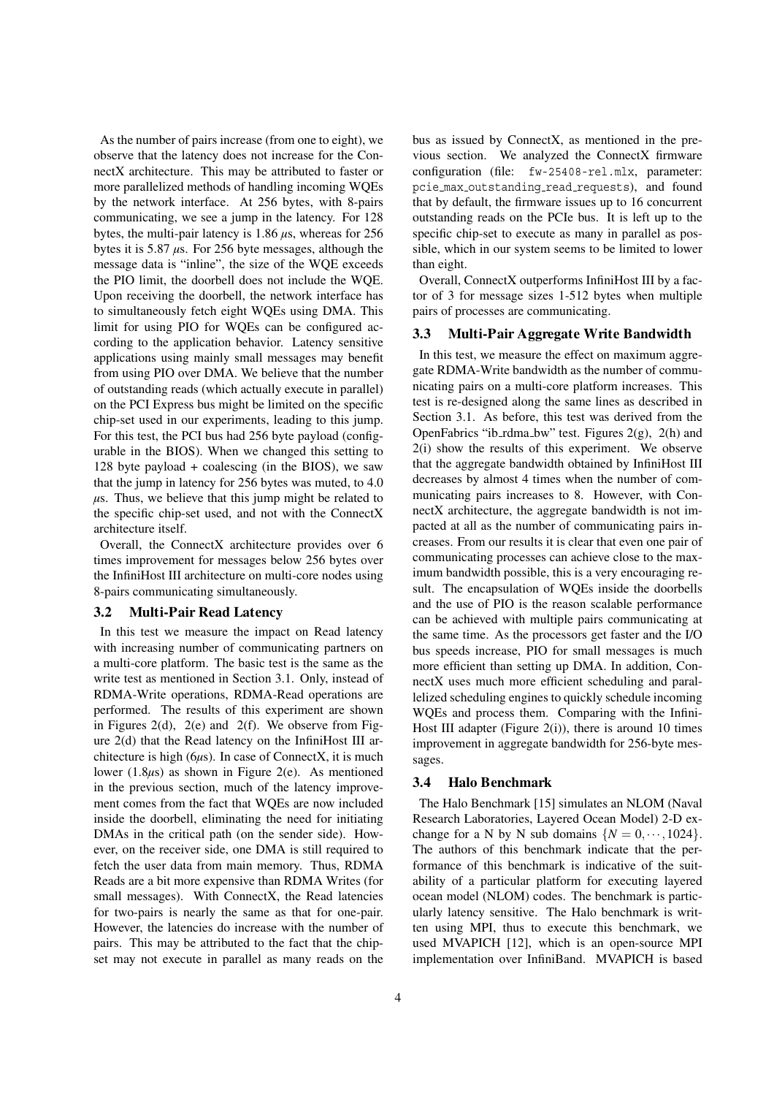As the number of pairs increase (from one to eight), we observe that the latency does not increase for the ConnectX architecture. This may be attributed to faster or more parallelized methods of handling incoming WQEs by the network interface. At 256 bytes, with 8-pairs communicating, we see a jump in the latency. For 128 bytes, the multi-pair latency is 1.86 *µ*s, whereas for 256 bytes it is 5.87 *µ*s. For 256 byte messages, although the message data is "inline", the size of the WQE exceeds the PIO limit, the doorbell does not include the WQE. Upon receiving the doorbell, the network interface has to simultaneously fetch eight WQEs using DMA. This limit for using PIO for WQEs can be configured according to the application behavior. Latency sensitive applications using mainly small messages may benefit from using PIO over DMA. We believe that the number of outstanding reads (which actually execute in parallel) on the PCI Express bus might be limited on the specific chip-set used in our experiments, leading to this jump. For this test, the PCI bus had 256 byte payload (configurable in the BIOS). When we changed this setting to 128 byte payload + coalescing (in the BIOS), we saw that the jump in latency for 256 bytes was muted, to 4.0 *µ*s. Thus, we believe that this jump might be related to the specific chip-set used, and not with the ConnectX architecture itself.

Overall, the ConnectX architecture provides over 6 times improvement for messages below 256 bytes over the InfiniHost III architecture on multi-core nodes using 8-pairs communicating simultaneously.

#### **3.2 Multi-Pair Read Latency**

In this test we measure the impact on Read latency with increasing number of communicating partners on a multi-core platform. The basic test is the same as the write test as mentioned in Section 3.1. Only, instead of RDMA-Write operations, RDMA-Read operations are performed. The results of this experiment are shown in Figures 2(d), 2(e) and 2(f). We observe from Figure 2(d) that the Read latency on the InfiniHost III architecture is high (6*µ*s). In case of ConnectX, it is much lower (1.8*µ*s) as shown in Figure 2(e). As mentioned in the previous section, much of the latency improvement comes from the fact that WQEs are now included inside the doorbell, eliminating the need for initiating DMAs in the critical path (on the sender side). However, on the receiver side, one DMA is still required to fetch the user data from main memory. Thus, RDMA Reads are a bit more expensive than RDMA Writes (for small messages). With ConnectX, the Read latencies for two-pairs is nearly the same as that for one-pair. However, the latencies do increase with the number of pairs. This may be attributed to the fact that the chipset may not execute in parallel as many reads on the bus as issued by ConnectX, as mentioned in the previous section. We analyzed the ConnectX firmware configuration (file: fw-25408-rel.mlx, parameter: pcie max outstanding read requests), and found that by default, the firmware issues up to 16 concurrent outstanding reads on the PCIe bus. It is left up to the specific chip-set to execute as many in parallel as possible, which in our system seems to be limited to lower than eight.

Overall, ConnectX outperforms InfiniHost III by a factor of 3 for message sizes 1-512 bytes when multiple pairs of processes are communicating.

#### **3.3 Multi-Pair Aggregate Write Bandwidth**

In this test, we measure the effect on maximum aggregate RDMA-Write bandwidth as the number of communicating pairs on a multi-core platform increases. This test is re-designed along the same lines as described in Section 3.1. As before, this test was derived from the OpenFabrics "ib\_rdma\_bw" test. Figures  $2(g)$ ,  $2(h)$  and 2(i) show the results of this experiment. We observe that the aggregate bandwidth obtained by InfiniHost III decreases by almost 4 times when the number of communicating pairs increases to 8. However, with ConnectX architecture, the aggregate bandwidth is not impacted at all as the number of communicating pairs increases. From our results it is clear that even one pair of communicating processes can achieve close to the maximum bandwidth possible, this is a very encouraging result. The encapsulation of WQEs inside the doorbells and the use of PIO is the reason scalable performance can be achieved with multiple pairs communicating at the same time. As the processors get faster and the I/O bus speeds increase, PIO for small messages is much more efficient than setting up DMA. In addition, ConnectX uses much more efficient scheduling and parallelized scheduling engines to quickly schedule incoming WQEs and process them. Comparing with the Infini-Host III adapter (Figure 2(i)), there is around 10 times improvement in aggregate bandwidth for 256-byte messages.

## **3.4 Halo Benchmark**

The Halo Benchmark [15] simulates an NLOM (Naval Research Laboratories, Layered Ocean Model) 2-D exchange for a N by N sub domains  $\{N = 0, \dots, 1024\}$ . The authors of this benchmark indicate that the performance of this benchmark is indicative of the suitability of a particular platform for executing layered ocean model (NLOM) codes. The benchmark is particularly latency sensitive. The Halo benchmark is written using MPI, thus to execute this benchmark, we used MVAPICH [12], which is an open-source MPI implementation over InfiniBand. MVAPICH is based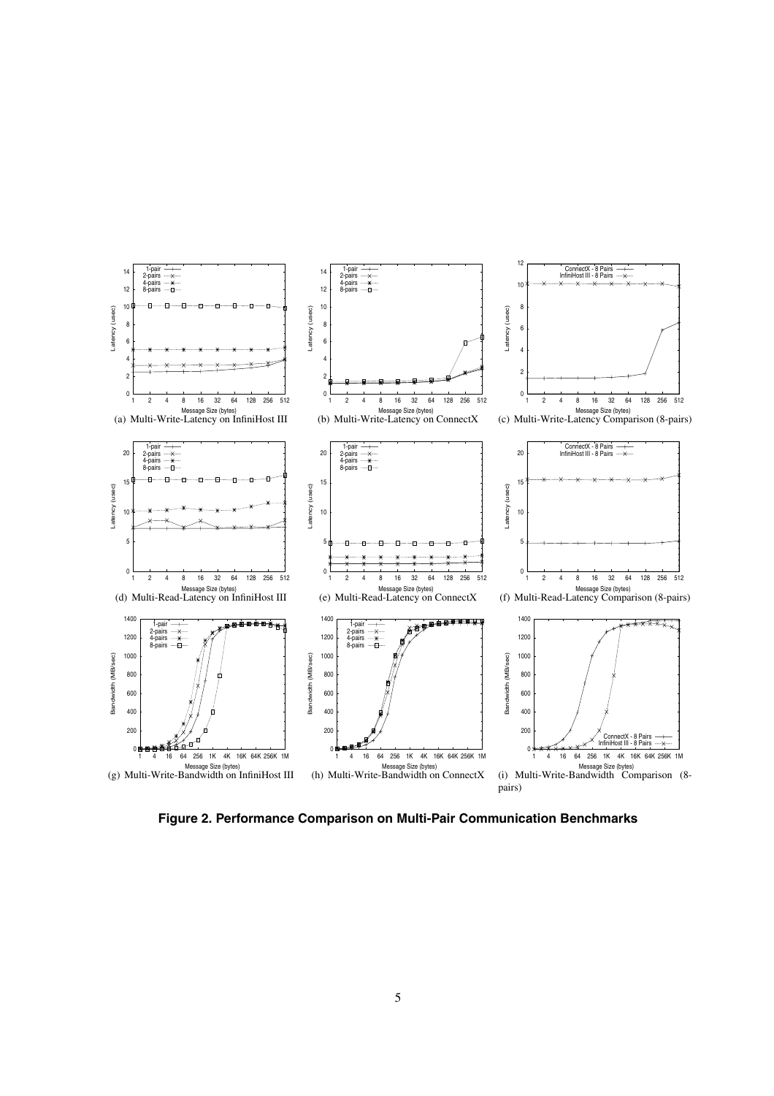

**Figure 2. Performance Comparison on Multi-Pair Communication Benchmarks**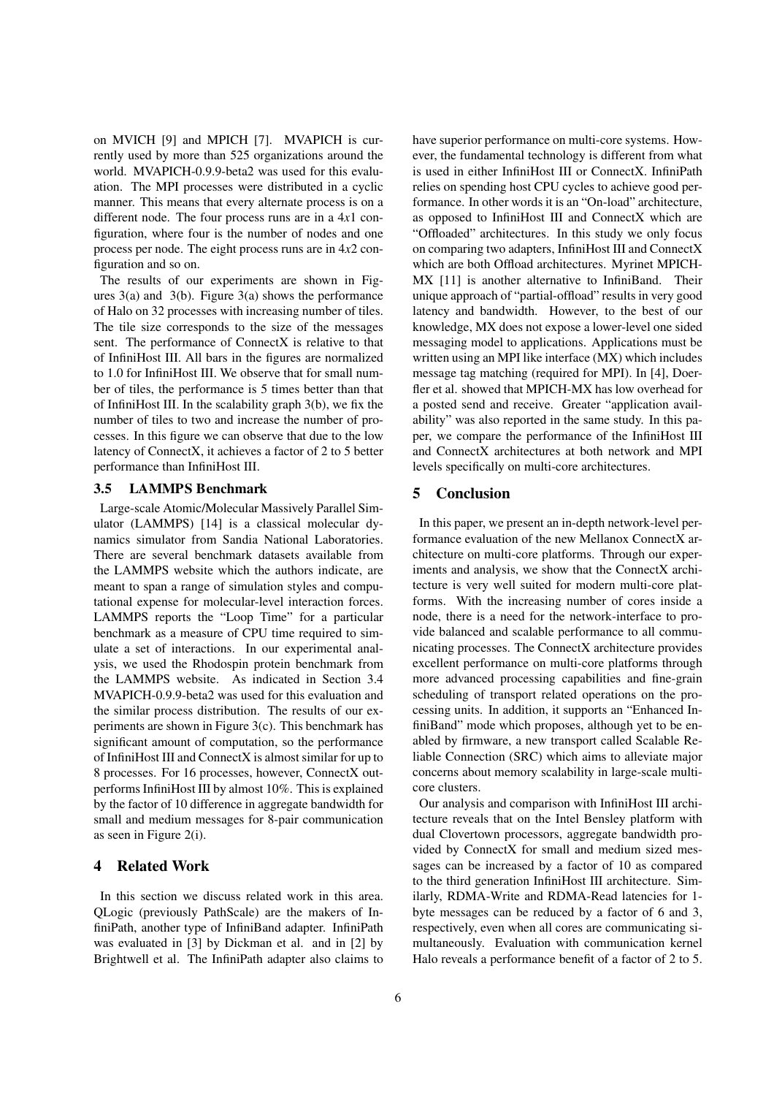on MVICH [9] and MPICH [7]. MVAPICH is currently used by more than 525 organizations around the world. MVAPICH-0.9.9-beta2 was used for this evaluation. The MPI processes were distributed in a cyclic manner. This means that every alternate process is on a different node. The four process runs are in a 4*x*1 configuration, where four is the number of nodes and one process per node. The eight process runs are in 4*x*2 configuration and so on.

The results of our experiments are shown in Figures  $3(a)$  and  $3(b)$ . Figure  $3(a)$  shows the performance of Halo on 32 processes with increasing number of tiles. The tile size corresponds to the size of the messages sent. The performance of ConnectX is relative to that of InfiniHost III. All bars in the figures are normalized to 1.0 for InfiniHost III. We observe that for small number of tiles, the performance is 5 times better than that of InfiniHost III. In the scalability graph 3(b), we fix the number of tiles to two and increase the number of processes. In this figure we can observe that due to the low latency of ConnectX, it achieves a factor of 2 to 5 better performance than InfiniHost III.

#### **3.5 LAMMPS Benchmark**

Large-scale Atomic/Molecular Massively Parallel Simulator (LAMMPS) [14] is a classical molecular dynamics simulator from Sandia National Laboratories. There are several benchmark datasets available from the LAMMPS website which the authors indicate, are meant to span a range of simulation styles and computational expense for molecular-level interaction forces. LAMMPS reports the "Loop Time" for a particular benchmark as a measure of CPU time required to simulate a set of interactions. In our experimental analysis, we used the Rhodospin protein benchmark from the LAMMPS website. As indicated in Section 3.4 MVAPICH-0.9.9-beta2 was used for this evaluation and the similar process distribution. The results of our experiments are shown in Figure 3(c). This benchmark has significant amount of computation, so the performance of InfiniHost III and ConnectX is almost similar for up to 8 processes. For 16 processes, however, ConnectX outperforms InfiniHost III by almost 10%. This is explained by the factor of 10 difference in aggregate bandwidth for small and medium messages for 8-pair communication as seen in Figure 2(i).

# **4 Related Work**

In this section we discuss related work in this area. QLogic (previously PathScale) are the makers of InfiniPath, another type of InfiniBand adapter. InfiniPath was evaluated in [3] by Dickman et al. and in [2] by Brightwell et al. The InfiniPath adapter also claims to have superior performance on multi-core systems. However, the fundamental technology is different from what is used in either InfiniHost III or ConnectX. InfiniPath relies on spending host CPU cycles to achieve good performance. In other words it is an "On-load" architecture, as opposed to InfiniHost III and ConnectX which are "Offloaded" architectures. In this study we only focus on comparing two adapters, InfiniHost III and ConnectX which are both Offload architectures. Myrinet MPICH-MX [11] is another alternative to InfiniBand. Their unique approach of "partial-offload" results in very good latency and bandwidth. However, to the best of our knowledge, MX does not expose a lower-level one sided messaging model to applications. Applications must be written using an MPI like interface (MX) which includes message tag matching (required for MPI). In [4], Doerfler et al. showed that MPICH-MX has low overhead for a posted send and receive. Greater "application availability" was also reported in the same study. In this paper, we compare the performance of the InfiniHost III and ConnectX architectures at both network and MPI levels specifically on multi-core architectures.

## **5 Conclusion**

In this paper, we present an in-depth network-level performance evaluation of the new Mellanox ConnectX architecture on multi-core platforms. Through our experiments and analysis, we show that the ConnectX architecture is very well suited for modern multi-core platforms. With the increasing number of cores inside a node, there is a need for the network-interface to provide balanced and scalable performance to all communicating processes. The ConnectX architecture provides excellent performance on multi-core platforms through more advanced processing capabilities and fine-grain scheduling of transport related operations on the processing units. In addition, it supports an "Enhanced InfiniBand" mode which proposes, although yet to be enabled by firmware, a new transport called Scalable Reliable Connection (SRC) which aims to alleviate major concerns about memory scalability in large-scale multicore clusters.

Our analysis and comparison with InfiniHost III architecture reveals that on the Intel Bensley platform with dual Clovertown processors, aggregate bandwidth provided by ConnectX for small and medium sized messages can be increased by a factor of 10 as compared to the third generation InfiniHost III architecture. Similarly, RDMA-Write and RDMA-Read latencies for 1 byte messages can be reduced by a factor of 6 and 3, respectively, even when all cores are communicating simultaneously. Evaluation with communication kernel Halo reveals a performance benefit of a factor of 2 to 5.